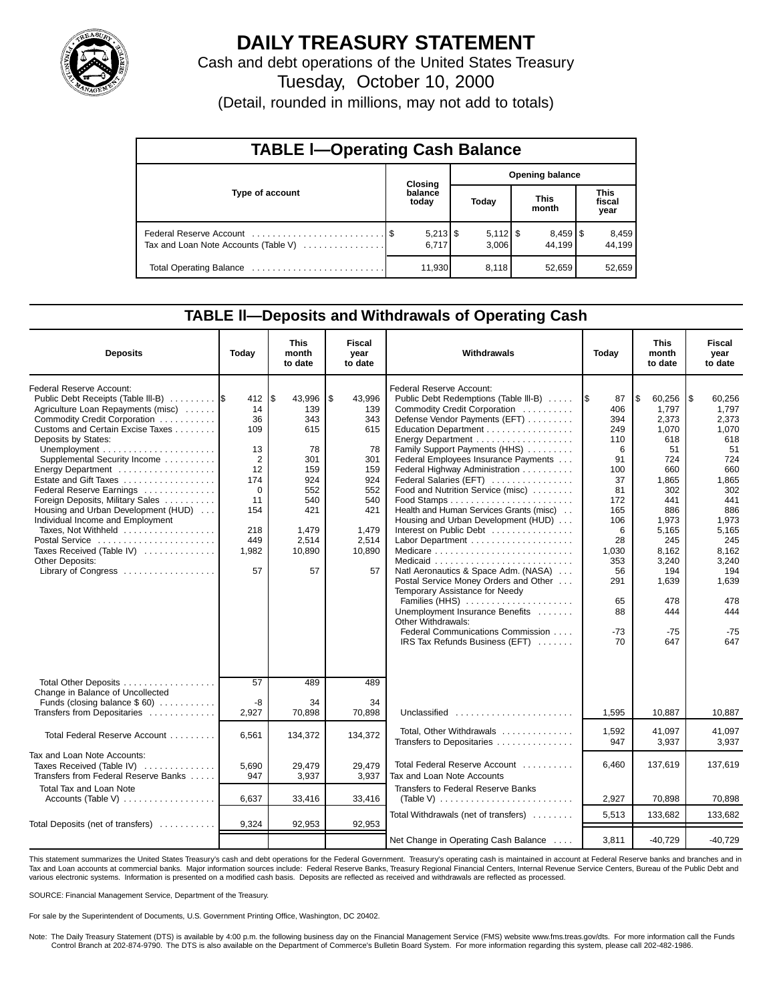

# **DAILY TREASURY STATEMENT**

Cash and debt operations of the United States Treasury

Tuesday, October 10, 2000

(Detail, rounded in millions, may not add to totals)

| <b>TABLE I-Operating Cash Balance</b> |  |                     |  |                        |  |                                 |  |                               |  |  |
|---------------------------------------|--|---------------------|--|------------------------|--|---------------------------------|--|-------------------------------|--|--|
|                                       |  | <b>Closing</b>      |  | <b>Opening balance</b> |  |                                 |  |                               |  |  |
| Type of account                       |  | balance<br>today    |  | Today                  |  | <b>This</b><br>month            |  | <b>This</b><br>fiscal<br>year |  |  |
| Tax and Loan Note Accounts (Table V)  |  | $5,213$ \$<br>6.717 |  | $5,112$ \$<br>3,006    |  | $8,459$ $\frac{8}{3}$<br>44.199 |  | 8,459<br>44.199               |  |  |
|                                       |  | 11,930              |  | 8,118                  |  | 52,659                          |  | 52,659                        |  |  |

### **TABLE ll—Deposits and Withdrawals of Operating Cash**

| <b>Deposits</b>                                                                                                                                                                   | Today                               | <b>This</b><br>month<br>to date        | Fiscal<br>vear<br>to date              | Withdrawals                                                                                                                                                                                 | Today                                 | <b>This</b><br>month<br>to date              | <b>Fiscal</b><br>year<br>to date             |
|-----------------------------------------------------------------------------------------------------------------------------------------------------------------------------------|-------------------------------------|----------------------------------------|----------------------------------------|---------------------------------------------------------------------------------------------------------------------------------------------------------------------------------------------|---------------------------------------|----------------------------------------------|----------------------------------------------|
| Federal Reserve Account:<br>Public Debt Receipts (Table III-B)<br>Agriculture Loan Repayments (misc)<br>Commodity Credit Corporation<br>Customs and Certain Excise Taxes          | 412<br>14<br>36<br>109              | l\$<br>43,996<br>139<br>343<br>615     | ا \$<br>43,996<br>139<br>343<br>615    | Federal Reserve Account:<br>Public Debt Redemptions (Table III-B)<br>Commodity Credit Corporation<br>Defense Vendor Payments (EFT)<br>Education Department                                  | 87<br>1\$<br>406<br>394<br>249        | l\$<br>60,256<br>1.797<br>2,373<br>1,070     | l\$<br>60,256<br>1,797<br>2.373<br>1,070     |
| Deposits by States:<br>Supplemental Security Income<br>Energy Department<br>Estate and Gift Taxes<br>Federal Reserve Earnings                                                     | 13<br>2<br>12<br>174<br>$\mathbf 0$ | 78<br>301<br>159<br>924<br>552         | 78<br>301<br>159<br>924<br>552         | Energy Department<br>Family Support Payments (HHS)<br>Federal Employees Insurance Payments<br>Federal Highway Administration<br>Federal Salaries (EFT)<br>Food and Nutrition Service (misc) | 110<br>6<br>91<br>100<br>37<br>81     | 618<br>51<br>724<br>660<br>1.865<br>302      | 618<br>51<br>724<br>660<br>1.865<br>302      |
| Foreign Deposits, Military Sales<br>Housing and Urban Development (HUD)<br>Individual Income and Employment<br>Taxes, Not Withheld<br>Postal Service<br>Taxes Received (Table IV) | 11<br>154<br>218<br>449<br>1,982    | 540<br>421<br>1,479<br>2,514<br>10,890 | 540<br>421<br>1,479<br>2,514<br>10,890 | Health and Human Services Grants (misc).<br>Housing and Urban Development (HUD)<br>Interest on Public Debt                                                                                  | 172<br>165<br>106<br>6<br>28<br>1,030 | 441<br>886<br>1,973<br>5,165<br>245<br>8,162 | 441<br>886<br>1,973<br>5,165<br>245<br>8,162 |
| <b>Other Deposits:</b><br>Library of Congress                                                                                                                                     | 57                                  | 57                                     | 57                                     | Natl Aeronautics & Space Adm. (NASA)<br>Postal Service Money Orders and Other<br>Temporary Assistance for Needy<br>Families (HHS)<br>Unemployment Insurance Benefits                        | 353<br>56<br>291<br>65<br>88          | 3,240<br>194<br>1,639<br>478<br>444          | 3,240<br>194<br>1,639<br>478<br>444          |
|                                                                                                                                                                                   |                                     |                                        |                                        | Other Withdrawals:<br>Federal Communications Commission<br>IRS Tax Refunds Business (EFT)                                                                                                   | $-73$<br>70                           | $-75$<br>647                                 | $-75$<br>647                                 |
| Total Other Deposits<br>Change in Balance of Uncollected<br>Funds (closing balance $$60$ )<br>Transfers from Depositaries                                                         | 57<br>-8<br>2,927                   | 489<br>34<br>70,898                    | 489<br>34<br>70,898                    | Unclassified $\ldots \ldots \ldots \ldots \ldots \ldots$                                                                                                                                    | 1,595                                 | 10.887                                       | 10.887                                       |
| Total Federal Reserve Account                                                                                                                                                     | 6,561                               | 134,372                                | 134,372                                | Total, Other Withdrawals<br>Transfers to Depositaries                                                                                                                                       | 1,592<br>947                          | 41,097<br>3,937                              | 41,097<br>3,937                              |
| Tax and Loan Note Accounts:<br>Taxes Received (Table IV)<br>Transfers from Federal Reserve Banks                                                                                  | 5,690<br>947                        | 29,479<br>3,937                        | 29,479<br>3,937                        | Total Federal Reserve Account<br>Tax and Loan Note Accounts                                                                                                                                 | 6,460                                 | 137,619                                      | 137,619                                      |
| <b>Total Tax and Loan Note</b><br>Accounts (Table V)                                                                                                                              | 6,637                               | 33,416                                 | 33,416                                 | Transfers to Federal Reserve Banks                                                                                                                                                          | 2,927                                 | 70,898                                       | 70,898                                       |
| Total Deposits (net of transfers)                                                                                                                                                 | 9,324                               | 92,953                                 | 92,953                                 | Total Withdrawals (net of transfers)                                                                                                                                                        | 5,513                                 | 133,682                                      | 133,682                                      |
|                                                                                                                                                                                   |                                     |                                        |                                        | Net Change in Operating Cash Balance                                                                                                                                                        | 3,811                                 | $-40,729$                                    | $-40,729$                                    |

This statement summarizes the United States Treasury's cash and debt operations for the Federal Government. Treasury's operating cash is maintained in account at Federal Reserve banks and branches and in<br>Tax and Loan accou various electronic systems. Information is presented on a modified cash basis. Deposits are reflected as received and withdrawals are reflected as processed.

SOURCE: Financial Management Service, Department of the Treasury.

For sale by the Superintendent of Documents, U.S. Government Printing Office, Washington, DC 20402.

Note: The Daily Treasury Statement (DTS) is available by 4:00 p.m. the following business day on the Financial Management Service (FMS) website www.fms.treas.gov/dts. For more information call the Funds Control Branch at 202-874-9790. The DTS is also available on the Department of Commerce's Bulletin Board System. For more information regarding this system, please call 202-482-1986.